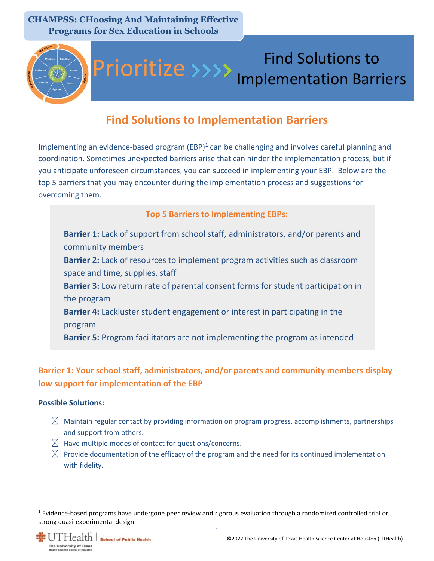

# Find Solutions to Prioritize >>>> Implementation Barriers

## **Find Solutions to Implementation Barriers**

Implementing an evidence-based program (EBP)<sup>1</sup> can be challenging and involves careful planning and coordination. Sometimes unexpected barriers arise that can hinder the implementation process, but if you anticipate unforeseen circumstances, you can succeed in implementing your EBP. Below are the top 5 barriers that you may encounter during the implementation process and suggestions for overcoming them.

#### **Top 5 Barriers to Implementing EBPs:**

**Barrier 1:** Lack of support from school staff, administrators, and/or parents and community members **Barrier 2:** Lack of resources to implement program activities such as classroom space and time, supplies, staff **Barrier 3:** Low return rate of parental consent forms for student participation in the program **Barrier 4:** Lackluster student engagement or interest in participating in the program

**Barrier 5:** Program facilitators are not implementing the program as intended

## **Barrier 1: Your school staff, administrators, and/or parents and community members display low support for implementation of the EBP**

#### **Possible Solutions:**

- $\boxtimes$  Maintain regular contact by providing information on program progress, accomplishments, partnerships and support from others.
- $\boxtimes$  Have multiple modes of contact for questions/concerns.
- $\boxtimes$  Provide documentation of the efficacy of the program and the need for its continued implementation with fidelity.

 $1$  Evidence-based programs have undergone peer review and rigorous evaluation through a randomized controlled trial or strong quasi-experimental design.



 $\overline{\phantom{a}}$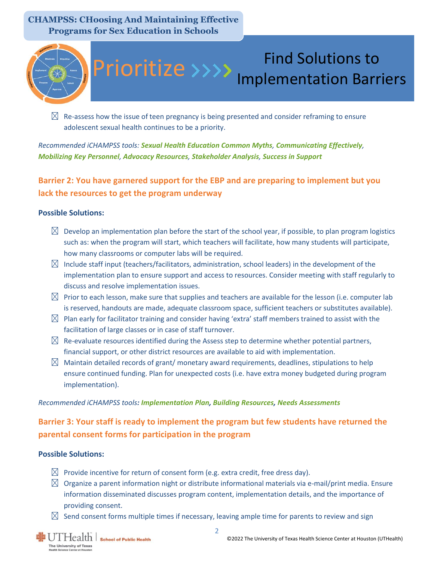

 $\boxtimes$  Re-assess how the issue of teen pregnancy is being presented and consider reframing to ensure adolescent sexual health continues to be a priority.

#### *Recommended iCHAMPSS tools: [Sexual Health Education Common Myths](https://sph.uth.edu/research/centers/chppr/ichampss/tools/support/facts-tips/SUPPORT-FT-Sexual-Health-Education-Common-Myths-FINAL.pdf), [Communicating Effectively](https://sph.uth.edu/research/centers/chppr/ichampss/tools/support/facts-tips/SUPPORT-FT-Communicating-Effectively-FINAL.pdf), [Mobilizing Key Personnel](https://sph.uth.edu/research/centers/chppr/ichampss/tools/support/facts-tips/SUPPORT-FT-Mobilizing-Key-Personnel-FINAL.pdf), [Advocacy Resources](https://sph.uth.edu/research/centers/chppr/ichampss/tools/support/helpful-links/advocacy-resources), [Stakeholder Analysis](https://sph.uth.edu/research/centers/chppr/ichampss/tools/documents/Stakeholder%20Analysis.docx), [Success in Support](https://sph.uth.edu/research/centers/chppr/ichampss/tools/support/success-stories/success-in-support)*

## **Barrier 2: You have garnered support for the EBP and are preparing to implement but you lack the resources to get the program underway**

#### **Possible Solutions:**

- $\boxtimes$  Develop an implementation plan before the start of the school year, if possible, to plan program logistics such as: when the program will start, which teachers will facilitate, how many students will participate, how many classrooms or computer labs will be required.
- $\boxtimes$  Include staff input (teachers/facilitators, administration, school leaders) in the development of the implementation plan to ensure support and access to resources. Consider meeting with staff regularly to discuss and resolve implementation issues.
- $\boxtimes$  Prior to each lesson, make sure that supplies and teachers are available for the lesson (i.e. computer lab is reserved, handouts are made, adequate classroom space, sufficient teachers or substitutes available).
- $\boxtimes$  Plan early for facilitator training and consider having 'extra' staff members trained to assist with the facilitation of large classes or in case of staff turnover.
- $\boxtimes$  Re-evaluate resources identified during the Assess step to determine whether potential partners, financial support, or other district resources are available to aid with implementation.
- $\boxtimes$  Maintain detailed records of grant/monetary award requirements, deadlines, stipulations to help ensure continued funding. Plan for unexpected costs (i.e. have extra money budgeted during program implementation).

#### *Recommended iCHAMPSS tools: [Implementation Plan,](https://sph.uth.edu/research/centers/chppr/ichampss/tools/documents/Implementation%20Plan.docx) [Building Resources,](https://sph.uth.edu/research/centers/chppr/ichampss/tools/adoption/assess/facts-tips/ASSESS-FT-Building-Resources-FINAL.pdf) [Needs Assessments](https://sph.uth.edu/research/centers/chppr/ichampss/tools/adoption/assess/templates/needs-assessment)*

### **Barrier 3: Your staff is ready to implement the program but few students have returned the parental consent forms for participation in the program**

#### **Possible Solutions:**

- $\boxtimes$  Provide incentive for return of consent form (e.g. extra credit, free dress day).
- $\boxtimes$  Organize a parent information night or distribute informational materials via e-mail/print media. Ensure information disseminated discusses program content, implementation details, and the importance of providing consent.
- $\boxtimes$  Send consent forms multiple times if necessary, leaving ample time for parents to review and sign

2

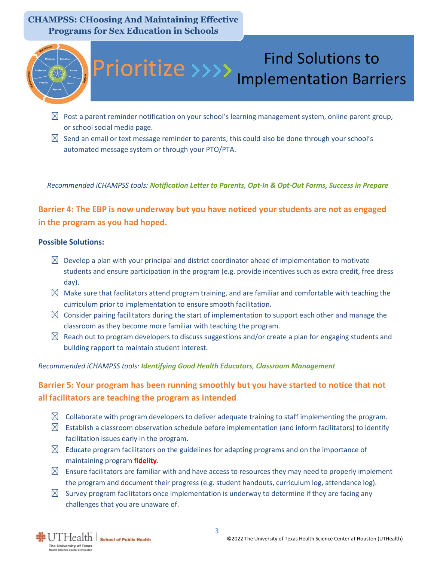

# Find Solutions to Prioritize >>>> Implementation Barriers

- $\boxtimes$  Post a parent reminder notification on your school's learning management system, online parent group, or school social media page.
- $\boxtimes$  Send an email or text message reminder to parents; this could also be done through your school's automated message system or through your PTO/PTA.

*Recommended iCHAMPSS tools: [Notification Letter to Parents](https://sph.uth.edu/research/centers/chppr/ichampss/tools/documents/Parent%20Notification%20Letter.docx), [Opt-In & Opt-Out Forms](https://sph.uth.edu/research/centers/chppr/ichampss/tools/implementation/prepare/templates/PREPARE-TEM-Opt-In-and-Opt-Out-Forms-FINAL.docx?language_id=1), [Success in Prepare](https://sph.uth.edu/research/centers/chppr/ichampss/tools/implementation/prepare/success-stories/success-in-prepare)*

**Barrier 4: The EBP is now underway but you have noticed your students are not as engaged in the program as you had hoped.**

#### **Possible Solutions:**

- $\boxtimes$  Develop a plan with your principal and district coordinator ahead of implementation to motivate students and ensure participation in the program (e.g. provide incentives such as extra credit, free dress day).
- $\boxtimes$  Make sure that facilitators attend program training, and are familiar and comfortable with teaching the curriculum prior to implementation to ensure smooth facilitation.
- $\boxtimes$  Consider pairing facilitators during the start of implementation to support each other and manage the classroom as they become more familiar with teaching the program.
- $\boxtimes$  Reach out to program developers to discuss suggestions and/or create a plan for engaging students and building rapport to maintain student interest.

#### *Recommended iCHAMPSS tools: [Identifying Good Health Educators](https://sph.uth.edu/research/centers/chppr/ichampss/tools/implementation/prepare/facts-tips/PREPARE-FT-Identifying-Good-Health-Educators-FINAL.pdf), [Classroom Management](https://sph.uth.edu/research/centers/chppr/ichampss/tools/implementation/implement/facts-tips/IMPLEMENT-FT-Classroom-Management-FINAL.pdf)*

### **Barrier 5: Your program has been running smoothly but you have started to notice that not all facilitators are teaching the program as intended**

- $\boxtimes$  Collaborate with program developers to deliver adequate training to staff implementing the program.
- $\boxtimes$  Establish a classroom observation schedule before implementation (and inform facilitators) to identify facilitation issues early in the program.
- $\boxtimes$  Educate program facilitators on the guidelines for adapting programs and on the importance of maintaining program **[fidelity](https://sph.uth.edu/research/centers/chppr/ichampss/glossary#f)**.
- $\boxtimes$  Ensure facilitators are familiar with and have access to resources they may need to properly implement the program and document their progress (e.g. student handouts, curriculum log, attendance log).
- $\boxtimes$  Survey program facilitators once implementation is underway to determine if they are facing any challenges that you are unaware of.